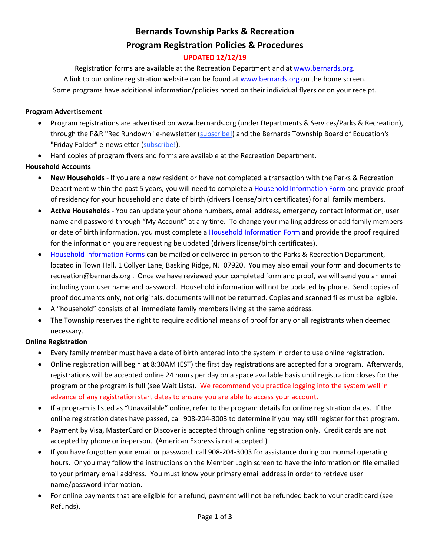# **Bernards Township Parks & Recreation Program Registration Policies & Procedures**

### **UPDATED 12/12/19**

Registration forms are available at the Recreation Department and a[t www.bernards.org.](http://www.bernards.org/) A link to our online registration website can be found a[t www.bernards.org](http://www.bernards.org/) on the home screen. Some programs have additional information/policies noted on their individual flyers or on your receipt.

#### **Program Advertisement**

- Program registrations are advertised on www.bernards.org (under Departments & Services/Parks & Recreation), through the P&R "Rec Rundown" e-newsletter [\(subscribe!\)](http://www.bernards.org/signup.aspx) and the Bernards Township Board of Education's "Friday Folder" e-newsletter [\(subscribe!\)](http://www.bernardsboe.com/CC_test.aspx).
- Hard copies of program flyers and forms are available at the Recreation Department.

#### **Household Accounts**

- **New Households** If you are a new resident or have not completed a transaction with the Parks & Recreation Department within the past 5 years, you will need to complete a [Household Information Form](https://www.bernardsrec.org/wbimages/splash/photos/HouseholdInformationForm.pdf) and provide proof of residency for your household and date of birth (drivers license/birth certificates) for all family members.
- **Active Households** You can update your phone numbers, email address, emergency contact information, user name and password through "My Account" at any time. To change your mailing address or add family members or date of birth information, you must complete [a Household Information Form](https://www.bernardsrec.org/wbimages/splash/photos/HouseholdInformationForm.pdf) and provide the proof required for the information you are requesting be updated (drivers license/birth certificates).
- [Household Information Forms](https://www.bernardsrec.org/wbimages/splash/photos/HouseholdInformationForm.pdf) can be mailed or delivered in person to the Parks & Recreation Department, located in Town Hall, 1 Collyer Lane, Basking Ridge, NJ 07920. You may also email your form and documents to recreation@bernards.org . Once we have reviewed your completed form and proof, we will send you an email including your user name and password. Household information will not be updated by phone. Send copies of proof documents only, not originals, documents will not be returned. Copies and scanned files must be legible.
- A "household" consists of all immediate family members living at the same address.
- The Township reserves the right to require additional means of proof for any or all registrants when deemed necessary.

#### **Online Registration**

- Every family member must have a date of birth entered into the system in order to use online registration.
- Online registration will begin at 8:30AM (EST) the first day registrations are accepted for a program. Afterwards, registrations will be accepted online 24 hours per day on a space available basis until registration closes for the program or the program is full (see Wait Lists). We recommend you practice logging into the system well in advance of any registration start dates to ensure you are able to access your account.
- If a program is listed as "Unavailable" online, refer to the program details for online registration dates. If the online registration dates have passed, call 908-204-3003 to determine if you may still register for that program.
- Payment by Visa, MasterCard or Discover is accepted through online registration only. Credit cards are not accepted by phone or in-person. (American Express is not accepted.)
- If you have forgotten your email or password, call 908-204-3003 for assistance during our normal operating hours. Or you may follow the instructions on the Member Login screen to have the information on file emailed to your primary email address. You must know your primary email address in order to retrieve user name/password information.
- For online payments that are eligible for a refund, payment will not be refunded back to your credit card (see Refunds).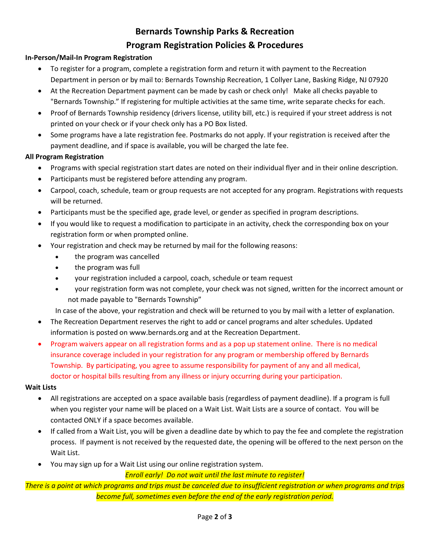# **Bernards Township Parks & Recreation Program Registration Policies & Procedures**

#### **In-Person/Mail-In Program Registration**

- To register for a program, complete a registration form and return it with payment to the Recreation Department in person or by mail to: Bernards Township Recreation, 1 Collyer Lane, Basking Ridge, NJ 07920
- At the Recreation Department payment can be made by cash or check only! Make all checks payable to "Bernards Township." If registering for multiple activities at the same time, write separate checks for each.
- Proof of Bernards Township residency (drivers license, utility bill, etc.) is required if your street address is not printed on your check or if your check only has a PO Box listed.
- Some programs have a late registration fee. Postmarks do not apply. If your registration is received after the payment deadline, and if space is available, you will be charged the late fee.

#### **All Program Registration**

- Programs with special registration start dates are noted on their individual flyer and in their online description.
- Participants must be registered before attending any program.
- Carpool, coach, schedule, team or group requests are not accepted for any program. Registrations with requests will be returned.
- Participants must be the specified age, grade level, or gender as specified in program descriptions.
- If you would like to request a modification to participate in an activity, check the corresponding box on your registration form or when prompted online.
- Your registration and check may be returned by mail for the following reasons:
	- the program was cancelled
	- the program was full
	- your registration included a carpool, coach, schedule or team request
	- your registration form was not complete, your check was not signed, written for the incorrect amount or not made payable to "Bernards Township"

In case of the above, your registration and check will be returned to you by mail with a letter of explanation.

- The Recreation Department reserves the right to add or cancel programs and alter schedules. Updated information is posted on www.bernards.org and at the Recreation Department.
- Program waivers appear on all registration forms and as a pop up statement online. There is no medical insurance coverage included in your registration for any program or membership offered by Bernards Township. By participating, you agree to assume responsibility for payment of any and all medical, doctor or hospital bills resulting from any illness or injury occurring during your participation.

#### **Wait Lists**

- All registrations are accepted on a space available basis (regardless of payment deadline). If a program is full when you register your name will be placed on a Wait List. Wait Lists are a source of contact. You will be contacted ONLY if a space becomes available.
- If called from a Wait List, you will be given a deadline date by which to pay the fee and complete the registration process. If payment is not received by the requested date, the opening will be offered to the next person on the Wait List.
- You may sign up for a Wait List using our online registration system.

*Enroll early! Do not wait until the last minute to register!* 

*There is a point at which programs and trips must be canceled due to insufficient registration or when programs and trips become full, sometimes even before the end of the early registration period.*